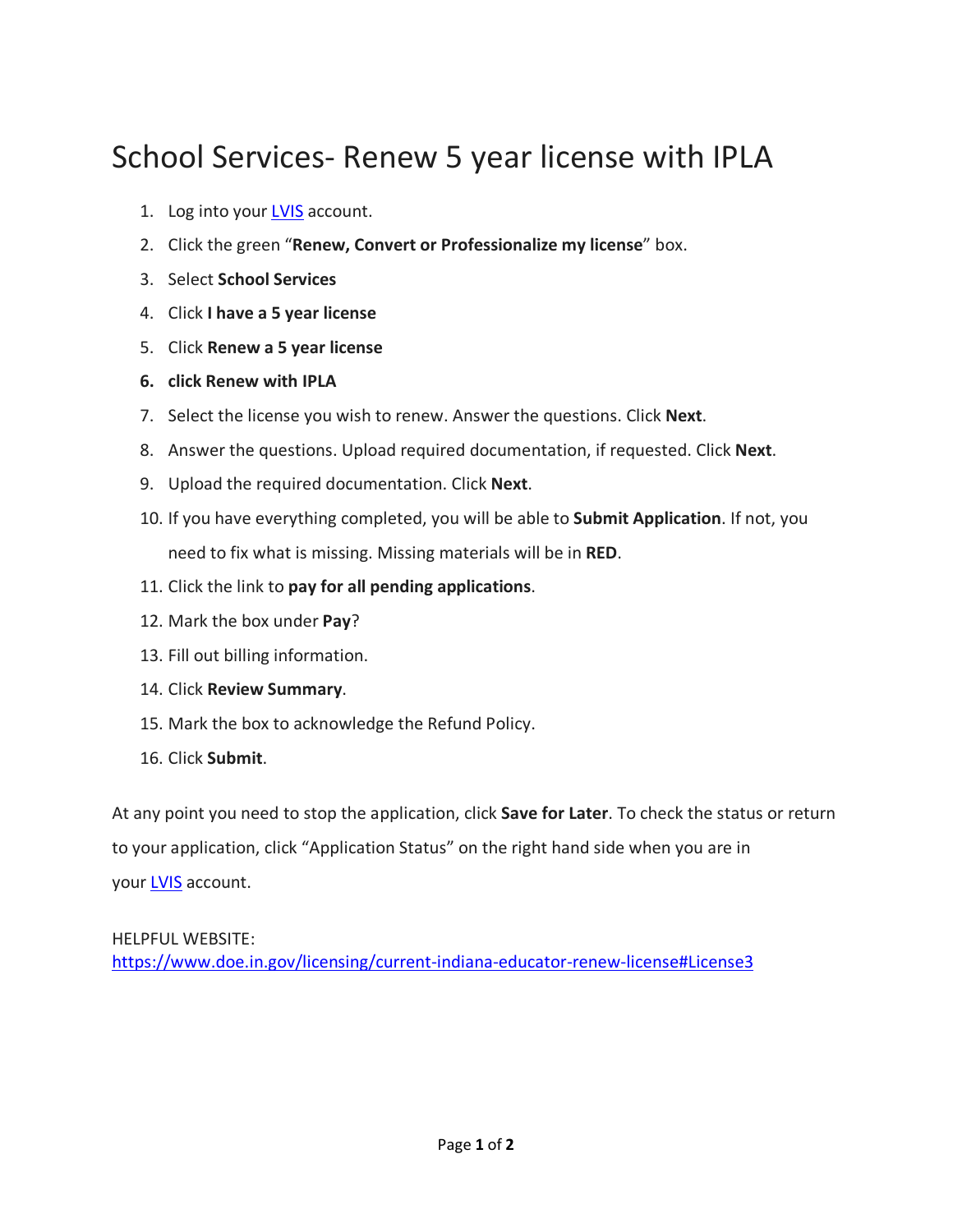## School Services- Renew 5 year license with IPLA

- 1. Log into your [LVIS](https://license.doe.in.gov/) account.
- 2. Click the green "**Renew, Convert or Professionalize my license**" box.
- 3. Select **School Services**
- 4. Click **I have a 5 year license**
- 5. Click **Renew a 5 year license**
- **6. click Renew with IPLA**
- 7. Select the license you wish to renew. Answer the questions. Click **Next**.
- 8. Answer the questions. Upload required documentation, if requested. Click **Next**.
- 9. Upload the required documentation. Click **Next**.
- 10. If you have everything completed, you will be able to **Submit Application**. If not, you need to fix what is missing. Missing materials will be in **RED**.
- 11. Click the link to **pay for all pending applications**.
- 12. Mark the box under **Pay**?
- 13. Fill out billing information.
- 14. Click **Review Summary**.
- 15. Mark the box to acknowledge the Refund Policy.
- 16. Click **Submit**.

At any point you need to stop the application, click **Save for Later**. To check the status or return to your application, click "Application Status" on the right hand side when you are in your [LVIS](https://license.doe.in.gov/) account.

## HELPFUL WEBSITE:

<https://www.doe.in.gov/licensing/current-indiana-educator-renew-license#License3>